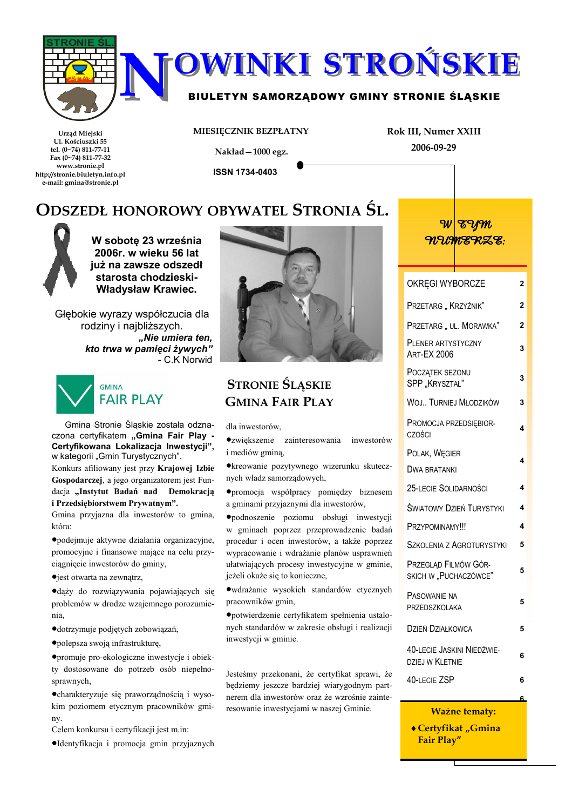



### BIULETYN SAMORZĄDOWY GMINY STRONIE ŚLĄSKIE

Urząd Miejski Ul. Kościuszki 55 tel. (0~74) 811-77-11 Fax (0~74) 811-77-32 www.stronie.pl http://stronie.biuletyn.info.pl e-mail: gmina@stronie.pl

MIESIĘCZNIK BEZPŁATNY

Rok III, Numer XXIII 2006-09-29

Nakład-1000 egz.

**ISSN 1734-0403** 

# ODSZEDŁ HONOROWY OBYWATEL STRONIA ŚL.



W sobote 23 września 2006r. w wieku 56 lat już na zawsze odszedł starosta chodzieski-**Władysław Krawiec.** 

Głębokie wyrazy współczucia dla rodziny i naibliższych. "Nie umiera ten. kto trwa w pamięci żywych" - C.K Norwid



Gmina Stronie Śląskie została odznaczona certyfikatem "Gmina Fair Plav -Certyfikowana Lokalizacja Inwestycji", w kategorii "Gmin Turystycznych".

Konkurs afiliowany jest przy Krajowej Izbie Gospodarczej, a jego organizatorem jest Fundacja "Instytut Badań nad Demokracją i Przedsiębiorstwem Prywatnym".

Gmina przyjazna dla inwestorów to gmina, która:

·podejmuje aktywne działania organizacyjne, promocyjne i finansowe mające na celu przyciagniecie inwestorów do gminy,

•jest otwarta na zewnątrz,

·dąży do rozwiązywania pojawiających się problemów w drodze wzajemnego porozumienia.

·dotrzymuje podjetych zobowiązań,

·polepsza swoją infrastrukturę,

·promuje pro-ekologiczne inwestycje i obiekty dostosowane do potrzeb osób niepełnosprawnych,

· charakteryzuje się praworządnością i wysokim poziomem etycznym pracowników gminy.

Celem konkursu i certyfikacji jest m.in:

·Identyfikacja i promocja gmin przyjaznych



# **STRONIE ŚLĄSKIE GMINA FAIR PLAY**

dla inwestorów.

•zwiekszenie zainteresowania inwestoróy i mediów gminą,

·kreowanie pozytywnego wizerunku skutecz nych władz samorządowych,

·promocja współpracy pomiędzy biznesen a gminami przyjaznymi dla inwestorów,

·podnoszenie poziomu obsługi inwestycj w gminach poprzez przeprowadzenie badar procedur i ocen inwestorów, a także poprze: wypracowanie i wdrażanie planów usprawnier ułatwiających procesy inwestycyjne w gminie jeżeli okaże się to konieczne.

· wdrażanie wysokich standardów etycznych pracowników gmin,

·potwierdzenie certyfikatem spełnienia ustalo nych standardów w zakresie obsługi i realizacj inwestycji w gminie.

Jesteśmy przekonani, że certyfikat sprawi, że będziemy jeszcze bardziej wiarygodnym part nerem dla inwestorów oraz że wzrośnie zainte resowanie inwestycjami w naszej Gminie.

|        | <u>WEAM</u><br>WUMERZE:                       |   |  |  |  |  |
|--------|-----------------------------------------------|---|--|--|--|--|
|        | OKRĘGI WYBORCZE                               | 2 |  |  |  |  |
|        | PRZETARG "KRZYŻNIK"                           | 2 |  |  |  |  |
|        | PRZETARG " UL. MORAWKA"                       | 2 |  |  |  |  |
|        | PLENER ARTYSTYCZNY<br><b>ART-EX 2006</b>      |   |  |  |  |  |
|        | POCZĄTEK SEZONU<br>SPP "KRYSZTAŁ"             |   |  |  |  |  |
|        | WOJ TURNIEJ MŁODZIKÓW                         | 3 |  |  |  |  |
| v      | PROMOCJA PRZEDSIĘBIOR-<br><b>CZOŚCI</b>       |   |  |  |  |  |
|        | POLAK, WĘGIER                                 | 4 |  |  |  |  |
| F      | <b>DWA BRATANKI</b>                           |   |  |  |  |  |
| ń      | 25-LECIE SOLIDARNOŚCI                         | 4 |  |  |  |  |
| i      | <b>SWIATOWY DZIEŃ TURYSTYKI</b>               | 4 |  |  |  |  |
| ń      | PRZYPOMINAMY!!!                               |   |  |  |  |  |
| Z<br>ń | SZKOLENIA Z AGROTURYSTYKI                     | 5 |  |  |  |  |
| ŕ,     | PRZEGLĄD FILMÓW GÓR-<br>SKICH W "PUCHACZÓWCE" | 5 |  |  |  |  |
| h      | PASOWANIE NA<br>PRZEDSZKOLAKA                 | 5 |  |  |  |  |
| i      | DZIEŃ DZIAŁKOWCA                              | 5 |  |  |  |  |
|        | 40-LECIE JASKINI NIEDŹWIE-<br>DZIEJ W KLETNIE | 6 |  |  |  |  |
| e      | <b>40-LECIE ZSP</b>                           | 6 |  |  |  |  |
| ŗ.     |                                               | ĥ |  |  |  |  |

#### **Ważne tematy:**

◆ Certyfikat "Gmina **Fair Play"**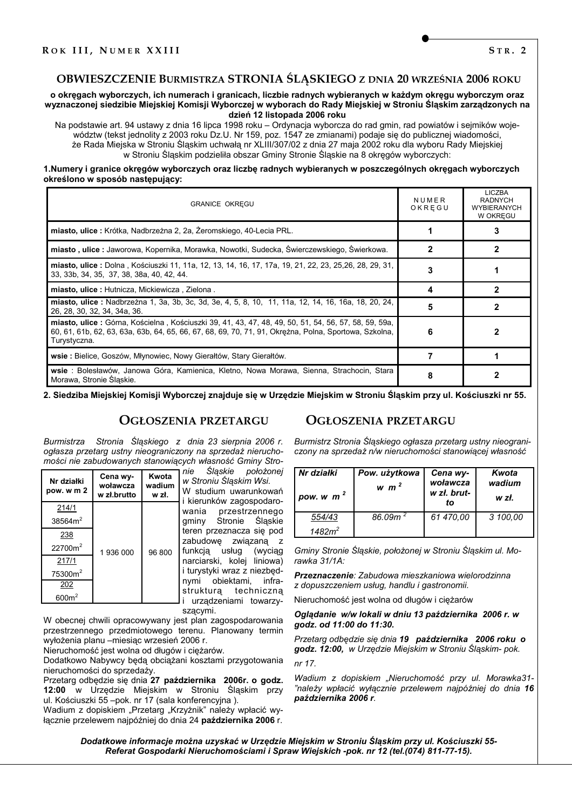### OBWIESZCZENIE BURMISTRZA STRONIA ŚLĄSKIEGO z DNIA 20 WRZEŚNIA 2006 ROKU

o okregach wyborczych, ich numerach i granicach, liczbie radnych wybieranych w każdym okregu wyborczym oraz wyznaczonej siedzibie Miejskiej Komisji Wyborczej w wyborach do Rady Miejskiej w Stroniu Śląskim zarządzonych na dzień 12 listopada 2006 roku

Na podstawie art. 94 ustawy z dnia 16 lipca 1998 roku – Ordynacia wyborcza do rad gmin, rad powiatów i sejmików województw (tekst jednolity z 2003 roku Dz.U. Nr 159, poz. 1547 ze zmianami) podaje się do publicznej wiadomości, że Rada Miejska w Stroniu Śląskim uchwałą nr XLIII/307/02 z dnia 27 maja 2002 roku dla wyboru Rady Miejskiej w Stroniu Śląskim podzieliła obszar Gminy Stronie Śląskie na 8 okręgów wyborczych:

#### 1.Numery i granice okręgów wyborczych oraz liczbę radnych wybieranych w poszczególnych okręgach wyborczych określono w sposób następujący:

| <b>GRANICE OKREGU</b>                                                                                                                                                                                                          |   | LICZBA<br><b>RADNYCH</b><br><b>WYBIERANYCH</b><br>W OKREGU |
|--------------------------------------------------------------------------------------------------------------------------------------------------------------------------------------------------------------------------------|---|------------------------------------------------------------|
| miasto, ulice: Krótka, Nadbrzeżna 2, 2a, Żeromskiego, 40-Lecia PRL.                                                                                                                                                            |   |                                                            |
| miasto, ulice: Jaworowa, Kopernika, Morawka, Nowotki, Sudecka, Świerczewskiego, Świerkowa.                                                                                                                                     |   |                                                            |
| miasto, ulice : Dolna, Kościuszki 11, 11a, 12, 13, 14, 16, 17, 17a, 19, 21, 22, 23, 25, 26, 28, 29, 31,<br>33, 33b, 34, 35, 37, 38, 38a, 40, 42, 44.                                                                           |   |                                                            |
| miasto, ulice: Hutnicza, Mickiewicza, Zielona.                                                                                                                                                                                 | 4 |                                                            |
| miasto, ulice : Nadbrzeżna 1, 3a, 3b, 3c, 3d, 3e, 4, 5, 8, 10, 11, 11a, 12, 14, 16, 16a, 18, 20, 24,<br>26, 28, 30, 32, 34, 34a, 36.                                                                                           |   |                                                            |
| miasto, ulice : Górna, Kościelna, Kościuszki 39, 41, 43, 47, 48, 49, 50, 51, 54, 56, 57, 58, 59, 59a,<br>60, 61, 61b, 62, 63, 63a, 63b, 64, 65, 66, 67, 68, 69, 70, 71, 91, Okreżna, Polna, Sportowa, Szkolna,<br>Turystyczna. | 6 |                                                            |
| wsie: Bielice, Goszów, Młynowiec, Nowy Gierałtów, Stary Gierałtów.                                                                                                                                                             |   |                                                            |
| wsie : Bolesławów, Janowa Góra, Kamienica, Kletno, Nowa Morawa, Sienna, Strachocin, Stara<br>Morawa, Stronie Slaskie.                                                                                                          | 8 |                                                            |

2. Siedziba Miejskiej Komisji Wyborczej znajduje się w Urzędzie Miejskim w Stroniu Śląskim przy ul. Kościuszki nr 55.

### **OGŁOSZENIA PRZETARGU**

Stronia Śląskiego z dnia 23 sierpnia 2006 r. *Burmistrza* ogłasza przetarg ustny nieograniczony na sprzedaż nieruchomości nie zabudowanych stanowiących własność Gminy Stro-

| Nr działki<br>pow. w m 2 | Cena wy-<br>woławcza<br>w zł.brutto | Kwota<br>wadium<br>w zł. | Slaskie<br>nie<br>w Stroniu Ślą.<br>W studium u<br>i kierunków z |  |
|--------------------------|-------------------------------------|--------------------------|------------------------------------------------------------------|--|
| 214/1                    | 1936000                             |                          | wania<br>prze                                                    |  |
| 38564m <sup>2</sup>      |                                     |                          | gminy Stror                                                      |  |
| 238                      |                                     |                          | teren przezna<br>zabudowe<br>- 2                                 |  |
| 22700m <sup>2</sup>      |                                     | 96 800                   | funkcją usłu                                                     |  |
| 217/1                    |                                     |                          | narciarski, ko                                                   |  |
| 75300m <sup>2</sup>      |                                     |                          | i turystyki wra                                                  |  |
| 202                      |                                     |                          | nymi obiekt<br>struktura                                         |  |
| 600m <sup>2</sup>        |                                     |                          | urządzenia                                                       |  |

położonej askim Wsi. uwarunkowań zagospodarozestrzennego onie Śląskie acza się pod związaną z kuq (wyciaq kolej liniowa) az z niezbędktami. infratechniczna ami towarzy-

szacymi. W obecnej chwili opracowywany jest plan zagospodarowania

przestrzennego przedmiotowego terenu. Planowany termin wyłożenia planu - miesiąc wrzesień 2006 r.

Nieruchomość jest wolna od długów i ciężarów.

Dodatkowo Nabywcy beda obciążani kosztami przygotowania nieruchomości do sprzedaży.

Przetarg odbedzie się dnia 27 października 2006r. o godz. 12:00 w Urzedzie Miejskim w Stroniu Śląskim przy ul. Kościuszki 55 - pok. nr 17 (sala konferencyjna).

Wadium z dopiskiem "Przetarg "Krzyżnik" należy wpłacić wyłącznie przelewem najpóźniej do dnia 24 października 2006 r.

### **OGŁOSZENIA PRZETARGU**

Burmistrz Stronia Śląskiego ogłasza przetarg ustny nieograniczony na sprzedaż n/w nieruchomości stanowiącej własność

| Nr działki<br>pow. w $m2$ | Pow. użytkowa<br>w $m2$ | Cena wy-<br>woławcza<br>w zł. brut-<br>to | Kwota<br>wadium<br>w zł. |
|---------------------------|-------------------------|-------------------------------------------|--------------------------|
| 554/43<br>$1482m^2$       | 86.09 $m2$              | 61 470.00                                 | 3 100,00                 |

Gminy Stronie Śląskie, położonej w Stroniu Śląskim ul. Morawka  $31/1A$ 

Przeznaczenie: Zabudowa mieszkaniowa wielorodzinna z dopuszczeniem usług, handlu i gastronomii.

Nieruchomość jest wolna od długów i ciężarów

Oglądanie w/w lokali w dniu 13 października 2006 r. w godz. od 11:00 do 11:30.

Przetarg odbędzie się dnia 19 października 2006 roku o godz. 12:00, w Urzędzie Miejskim w Stroniu Śląskim- pok.

nr 17

Wadium z dopiskiem "Nieruchomość przy ul. Morawka31-"należy wpłacić wyłącznie przelewem najpóźniej do dnia 16 października 2006 r.

Dodatkowe informacje można uzyskać w Urzędzie Miejskim w Stroniu Śląskim przy ul. Kościuszki 55-Referat Gospodarki Nieruchomościami i Spraw Wiejskich -pok. nr 12 (tel. (074) 811-77-15).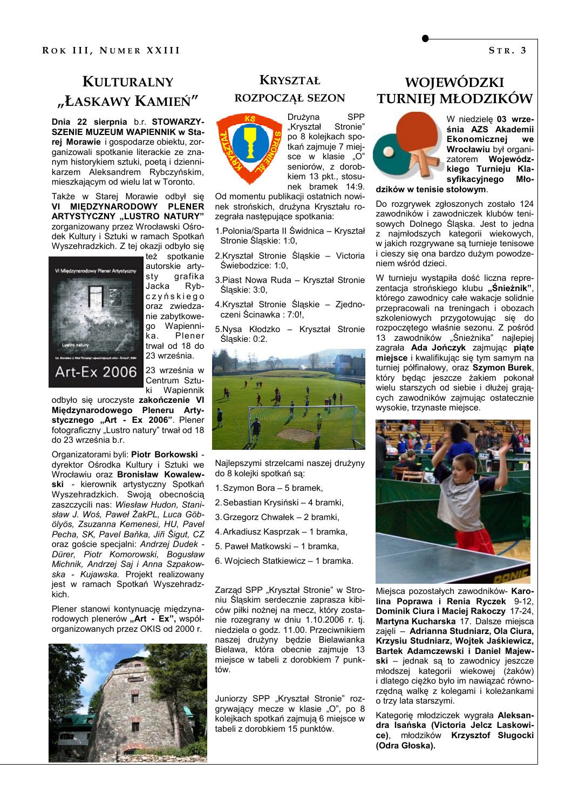# **KULTURALNY** "ŁASKAWY KAMIEŃ"

Dnia 22 sierpnia b.r. STOWARZY-**SZENIE MUZEUM WAPIENNIK w Sta**rej Morawie i gospodarze obiektu, zorganizowali spotkanie literackie ze znanym historykiem sztuki, poetą i dziennikarzem Aleksandrem Rybczyńskim, mieszkającym od wielu lat w Toronto.

Także w Starej Morawie odbył sie VI MIEDZYNARODOWY PLÉNER ARTYSTYCZNY "LUSTRO NATURY" zorganizowany przez Wrocławski Ośrodek Kultury i Sztuki w ramach Spotkań Wyszehradzkich. Z tej okazji odbyło się



też spotkanie autorskie artygrafika sty Jacka Rybczyńskiego oraz zwiedzanie zabytkowe-Wapienni**an** ka Plener trwał od 18 do 23 września.

23 września w Centrum Sztu-Wapiennik ki

odbyło się uroczyste zakończenie VI Międzynarodowego Pleneru Artystycznego "Art - Ex 2006". Plener fotograficzny "Lustro natury" trwał od 18 do 23 września b.r.

Organizatorami byli: Piotr Borkowski dyrektor Ośrodka Kultury i Sztuki we Wrocławiu oraz Bronisław Kowalewski - kierownik artystyczny Spotkań Wyszehradzkich. Swoją obecnością zaszczycili nas: Wiesław Hudon, Stanisław J. Woś, Paweł ŻakPL, Luca Göbölvös. Zsuzanna Kemenesi. HU. Pavel Pecha, SK, Pavel Baňka, Jiři Šigut, CZ oraz goście specjalni: Andrzej Dudek -Dürer, Piotr Komorowski, Boqusław Michnik, Andrzej Saj i Anna Szpakowska - Kujawska. Projekt realizowany jest w ramach Spotkań Wyszehradzkich

Plener stanowi kontynuację międzynarodowych plenerów "Art - Ex", współorganizowanych przez OKIS od 2000 r.



### **KRYSZTAŁ**

#### ROZPOCZĄŁ SEZON



Drużyna **SPP** "Kryształ Stronie" po 8 kolejkach spotkań zajmuje 7 miejsce w klasie "O" seniorów. z dorobkiem 13 pkt., stosunek bramek 14:9.

Od momentu publikacji ostatnich nowinek strońskich, drużyna Kryształu rozegrała następujące spotkania:

- 1. Polonia/Sparta II Świdnica Kryształ Stronie Śląskie: 1:0.
- 2.Kryształ Stronie Śląskie Victoria Świebodzice: 1:0.
- 3. Piast Nowa Ruda Kryształ Stronie Śląskie: 3:0,
- 4.Kryształ Stronie Śląskie Zjednoczeni Ścinawka: 7:0!,
- 5.Nysa Kłodzko Kryształ Stronie Sląskie: 0:2.



Najlepszymi strzelcami naszej drużyny do 8 kolejki spotkań są:

- 1. Szymon Bora 5 bramek,
- 2. Sebastian Krysiński 4 bramki,
- 3. Grzegorz Chwałek 2 bramki,
- 4. Arkadiusz Kasprzak 1 bramka,
- 5. Paweł Matkowski 1 bramka,
- 6. Wojciech Statkiewicz 1 bramka.

Zarząd SPP "Kryształ Stronie" w Stroniu Śląskim serdecznie zaprasza kibiców piłki nożnej na mecz, który zostanie rozegrany w dniu 1.10.2006 r. tj. niedziela o godz. 11.00. Przeciwnikiem naszej drużyny będzie Bielawianka Bielawa, która obecnie zajmuje 13 miejsce w tabeli z dorobkiem 7 punktów.

Juniorzy SPP "Kryształ Stronie" rozgrywający mecze w klasie "O", po 8 kolejkach spotkań zajmuja 6 miejsce w tabeli z dorobkiem 15 punktów.

# WOJEWÓDZKI **TURNIEJ MŁODZIKÓW**



W niedzielę 03 września AZS Akademii Ekonomicznej **We** Wrocławiu był organizatorem Wojewódzkiego Turnieju Klasyfikacyjnego Mło-

dzików w tenisie stołowym.

Do rozgrywek zgłoszonych zostało 124 zawodników i zawodniczek klubów tenisowych Dolnego Śląska. Jest to jedna z najmłodszych kategorii wiekowych, w jakich rozgrywane są turnieje tenisowe i cieszy się ona bardzo dużym powodzeniem wśród dzieci.

W turnieju wystąpiła dość liczna reprezentacja strońskiego klubu "Śnieżnik", którego zawodnicy całe wakacje solidnie przepracowali na treningach i obozach szkoleniowych przygotowując się do rozpoczętego właśnie sezonu. Z pośród 13 zawodników "Śnieżnika" najlepiej zagrała Ada Jończyk zajmując piąte miejsce i kwalifikując się tym samym na turniej półfinałowy, oraz Szymon Burek, który będąc jeszcze żakiem pokonał wielu starszych od siebie i dłużej grających zawodników zajmując ostatecznie wysokie, trzynaste miejsce.



Miejsca pozostałych zawodników- Karolina Poprawa i Renia Ryczek 9-12, Dominik Ciura i Maciej Rakoczy 17-24, Martyna Kucharska 17. Dalsze miejsca zajeli - Adrianna Studniarz, Ola Ciura, Krzysiu Studniarz, Wojtek Jaśkiewicz, Bartek Adamczewski i Daniel Majewski - jednak są to zawodnicy jeszcze młodszej kategorii wiekowej (żaków) i dlatego cieżko było im nawiazać równorzedna walke z kolegami i koleżankami o trzy lata starszymi.

Kategorię młodziczek wygrała Aleksandra Isańska (Victoria Jelcz Laskowice), młodzików Krzysztof Sługocki (Odra Głoska).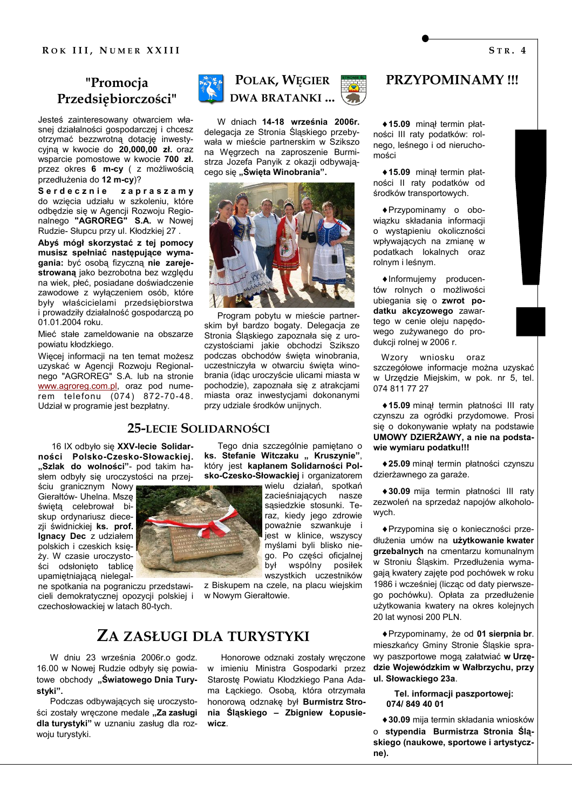# "Promocja Przedsiębiorczości"

Jesteś zainteresowany otwarciem własnej działalności gospodarczej i chcesz otrzymać bezzwrotną dotację inwestycyjną w kwocie do  $20,000,00$  zł. oraz wsparcie pomostowe w kwocie 700 zł. przez okres 6 m-cy ( z możliwością przedłużenia do 12 m-cy)?

Serdecznie zapraszamy do wziecia udziału w szkoleniu, które odbędzie się w Agencji Rozwoju Regio-<br>nalnego "AGROREG" S.A. w Nowej Rudzie- Słupcu przy ul. Kłodzkiej 27.

Abyś mógł skorzystać z tej pomocy musisz spełniać następujące wymagania: być osobą fizyczną nie zarejestrowana jako bezrobotna bez względu na wiek, płeć, posiadane doświadczenie zawodowe z wyłączeniem osób, które bvłv właścicielami przedsiębiorstwa i prowadziły działalność gospodarczą po  $01.01.2004$  roku

Mieć stałe zameldowanie na obszarze powiatu kłodzkiego.

Wiecej informacji na ten temat możesz uzyskać w Agencji Rozwoju Regionalnego "AGROREG" S.A. lub na stronie www.agroreg.com.pl, oraz pod numerem telefonu (074) 872-70-48. Udział w programie jest bezpłatny.

16 IX odbyło się XXV-lecie Solidarności Polsko-Czesko-Słowackiej. "Szlak do wolności"- pod takim hasłem odbyły się uroczystości na przej-

ściu granicznym Nowy Gierałtów- Uhelna. Mszę świętą celebrował biskup ordynariusz diecezii świdnickiej ks. prof. Ignacy Dec z udziałem polskich i czeskich księży. W czasie uroczystości odsłonieto tablice upamiętniającą nielegal-

cieli demokratycznej opozycji polskiej i w Nowym Gierałtowie. czechosłowackiej w latach 80-tych.

# ZA ZASŁUGI DLA TURYSTYKI

W dniu 23 września 2006r.o godz. 16.00 w Nowej Rudzie odbyły się powiatowe obchody "Światowego Dnia Turystvki".

Podczas odbywających się uroczystości zostały wreczone medale "Za zasługi dla turvstvki" w uznaniu zasług dla rozwoiu turvstvki.





W dniach 14-18 września 2006r. delegacja ze Stronia Śląskiego przebywała w mieście partnerskim w Szikszo na Węgrzech na zaproszenie Burmistrza Jozefa Panyik z okazji odbywajacego się "Święta Winobrania".



Program pobytu w mieście partnerskim był bardzo bogaty. Delegacja ze Stronia Śląskiego zapoznała się z uroczystościami jakie obchodzi Szikszo<br>podczas obchodów święta winobrania, uczestniczyła w otwarciu świeta winobrania (idac uroczyście ulicami miasta w pochodzie), zapoznała się z atrakcjami miasta oraz inwestycjami dokonanymi przy udziale środków unijnych.

## **25-LECIE SOLIDARNOŚCI**

Tego dnia szczególnie pamietano o ks. Stefanie Witczaku " Kruszynie", który jest kapłanem Solidarności Polsko-Czesko-Słowackiej i organizatorem

> wielu działań, spotkań zacieśniających nasze sasiedzkie stosunki. Teraz, kiedy jego zdrowie poważnie szwankuje i jest w klinice, wszyscy myślami byli blisko niego. Po cześci oficialnej posilek był wspólny wszystkich uczestników

ne spotkania na pograniczu przedstawi- z Biskupem na czele, na placu wiejskim

Honorowe odznaki zostały wręczone w imieniu Ministra Gospodarki przez Staroste Powiatu Kłodzkiego Pana Adama Łąckiego. Osobą, która otrzymała honorowa odznake był Burmistrz Stronia Ślaskiego - Zbigniew Łopusiewicz.

# PRZYPOMINAMY!!!

◆15.09 minal termin platności III raty podatków: rolnego. leśnego i od nieruchomości

◆15.09 minal termin platności II raty podatków od środków transportowych.

◆ Przypominamy o obowiązku składania informacji o wystąpieniu okoliczności wpływających na zmianę w podatkach lokalnych oraz rolnym i leśnym.

•Informujemy producentów rolnych o możliwości ubiegania sie o zwrot podatku akcyzowego zawartego w cenie oleju napędowego zużywanego do produkcji rolnej w 2006 r.

Wzory wniosku oraz szczegółowe informacie można uzyskać w Urzedzie Miejskim, w pok, nr 5, tel. 074 811 77 27

◆15.09 minał termin płatności III raty czynszu za ogródki przydomowe. Prosi się o dokonywanie wpłaty na podstawie UMOWY DZIERŻAWY, a nie na podstawie wymiaru podatku!!!

◆ 25.09 minał termin płatności czynszu dzierżawnego za garaże.

◆30.09 miia termin płatności III ratv zezwoleń na sprzedaż napojów alkoholowych.

◆ Przypomina się o konieczności przedłużenia umów na użytkowanie kwater grzebalnych na cmentarzu komunalnym w Stroniu Śląskim. Przedłużenia wymagają kwatery zajęte pod pochówek w roku 1986 i wcześniej (licząc od daty pierwszego pochówku). Opłata za przedłużenie użytkowania kwatery na okres koleinych 20 lat wynosi 200 PLN.

◆ Przypominamy, że od 01 sierpnia br. mieszkańcy Gminy Stronie Ślaskie sprawy paszportowe mogą załatwiać w Urzędzie Wojewódzkim w Wałbrzychu, przy ul. Słowackiego 23a.

Tel. informacji paszportowej: 074/849 40 01

◆ 30.09 mija termin składania wniosków o stypendia Burmistrza Stronia Śląskiego (naukowe, sportowe i artystyczne).



 $STR.4$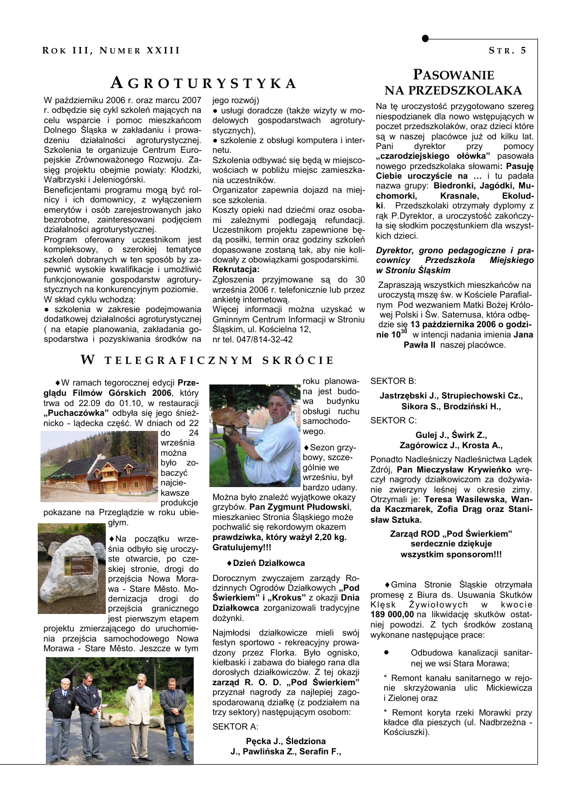# **AGROTURYSTYKA**

W październiku 2006 r. oraz marcu 2007 r. odbędzie się cykl szkoleń mających na celu wsparcie i pomoc mieszkańcom Dolnego Śląska w zakładaniu i prowadzeniu działalności agroturystycznej. Szkolenia te organizuje Centrum Europejskie Zrównoważonego Rozwoju. Zasieg projektu obejmie powiaty: Kłodzki, Wałbrzyski i Jeleniogórski.

Beneficientami programu mogą być rolnicy i ich domownicy, z wyłaczeniem emerytów i osób zarejestrowanych jako bezrobotne, zainteresowani podjęciem działalności agroturystycznej.

Program oferowany uczestnikom jest kompleksowy, o szerokiej tematyce szkoleń dobranych w ten sposób by zapewnić wysokie kwalifikacje i umożliwić funkcjonowanie gospodarstw agroturystycznych na konkurencyjnym poziomie. W skład cyklu wchodzą:

· szkolenia w zakresie podejmowania dodatkowej działalności agroturystycznej (na etapie planowania, zakładania gospodarstwa i pozyskiwania środków na jego rozwój)

· usługi doradcze (także wizyty w modelowych gospodarstwach agroturystycznych),

· szkolenie z obsługi komputera i internetu.

Szkolenia odbywać się będą w miejscowościach w pobliżu miejsc zamieszkania uczestników.

Organizator zapewnia dojazd na miejsce szkolenia.

Koszty opieki nad dziećmi oraz osobami zależnymi podlegają refundacji. Uczestnikom projektu zapewnione bedą posiłki, termin oraz godziny szkoleń dopasowane zostaną tak, aby nie kolidowały z obowiązkami gospodarskimi. Rekrutacia:

Zgłoszenia przyjmowane są do 30 września 2006 r. telefonicznie lub przez ankiete internetową.

Więcej informacji można uzyskać w Gminnym Centrum Informacji w Stroniu Śląskim, ul. Kościelna 12,

nr tel. 047/814-32-42

#### W TELEGRAFICZNYM SKRÓCIE

♦ W ramach tegorocznej edycji Przeglądu Filmów Górskich 2006, który trwa od 22.09 do 01.10, w restauracji "Puchaczówka" odbyła się jego śnieżnicko - lądecka część. W dniach od 22  $24$ 



do września można było zobaczyć najciekawsze produkcje

pokazane na Przeglądzie w roku ubiegłym.



Na początku września odbyło sie uroczyste otwarcie, po czeskiej stronie, drogi do przejścia Nowa Morawa - Stare Město. Modernizacia drogi do przejścia granicznego jest pierwszym etapem

projektu zmierzającego do uruchomienia przejścia samochodowego Nowa Morawa - Stare Město, Jeszcze w tym





roku planowana jest budobudynku wa. obsłuai ruchu samochodowego.

bowy, szczeaólnie we wrześniu, był bardzo udany.

Można było znaleźć wyjątkowe okazy grzybów. Pan Zygmunt Płudowski, mieszkaniec Stronia Śląskiego może pochwalić się rekordowym okazem prawdziwka, który ważył 2,20 kg. Gratuluiemv!!!

#### ◆ Dzień Działkowca

Dorocznym zwyczajem zarządy Rodzinnych Ogrodów Działkowych "Pod Świerkiem" i "Krokus" z okazji Dnia Działkowca zorganizowali tradycyjne dożynki.

Najmłodsi działkowicze mieli swój festyn sportowo - rekreacyjny prowadzony przez Florka. Było ognisko, kiełbaski i zabawa do białego rana dla dorosłych działkowiczów. Z tej okazii zarząd R. O. D. "Pod Świerkiem" przyznał nagrody za najlepiej zagospodarowana działkę (z podziałem na trzy sektory) następującym osobom:

**SEKTOR A:** 

Pęcka J., Śledziona J., Pawlińska Z., Serafin F.,

# **PASOWANIE NA PRZEDSZKOLAKA**

Na tę uroczystość przygotowano szereg niespodzianek dla nowo wstepujących w poczet przedszkolaków, oraz dzieci które są w naszej placówce już od kilku lat. Pani dvrektor przy pomocy "czarodziejskiego ołówka" pasowała nowego przedszkolaka słowami: Pasuje Ciebie uroczyście na ... i tu padała nazwa grupy: Biedronki, Jagódki, Muchomorki, Krasnale, Ekoludki. Przedszkolaki otrzymały dyplomy z rak P.Dyrektor, a uroczystość zakończyła się słodkim poczęstunkiem dla wszystkich dzieci.

#### Dyrektor, grono pedagogiczne i pracownicy Przedszkola **Miejskiego** w Stroniu Ślaskim

Zapraszają wszystkich mieszkańców na uroczysta msze św. w Kościele Parafialnym Pod wezwaniem Matki Bożej Królowej Polski i Św. Saternusa, która odbędzie się 13 października 2006 o godzinie 10<sup>30</sup> w intencji nadania imienia Jana Pawła II naszej placówce.

**SEKTOR B:** 

#### Jastrzebski J., Strupiechowski Cz., Sikora S., Brodziński H.,

**SEKTOR C:** 

#### Gulei J., Świrk Z., Zagórowicz J., Krosta A.,

Ponadto Nadleśniczy Nadleśnictwa Ladek Zdrój, Pan Mieczysław Krywieńko wreczył nagrody działkowiczom za dożywianie zwierzyny leśnej w okresie zimy. Otrzymali je: Teresa Wasilewska, Wanda Kaczmarek, Zofia Drag oraz Stanisław Sztuka.

#### Zarzad ROD ..Pod Świerkiem" serdecznie dziękuje wszystkim sponsorom!!!

◆ Gmina Stronie Śląskie otrzymała promese z Biura ds. Usuwania Skutków Żywiołowych Klesk  $W$ kwocie 189 000,00 na likwidację skutków ostatniej powodzi. Z tych środków zostaną wykonane nastepujące prace:

> Odbudowa kanalizacji sanitarnej we wsi Stara Morawa;

\* Remont kanału sanitarnego w reionie skrzyżowania ulic Mickiewicza i Zielonej oraz

Remont koryta rzeki Morawki przy kładce dla pieszych (ul. Nadbrzeżna -Kościuszki).

◆ Sezon grzy-